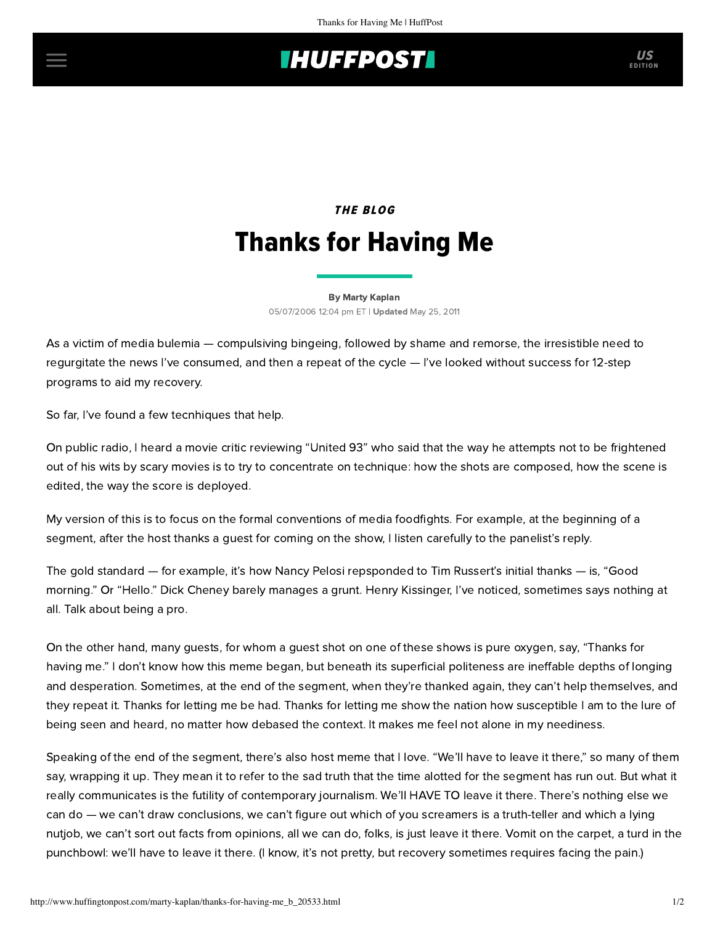## **IHUFFPOSTI** US

## THE BLOG Thanks for Having Me

[By Marty Kaplan](http://www.huffingtonpost.com/author/marty-kaplan) 05/07/2006 12:04 pm ET | Updated May 25, 2011

As a victim of media bulemia — compulsiving bingeing, followed by shame and remorse, the irresistible need to regurgitate the news I've consumed, and then a repeat of the cycle — I've looked without success for 12-step programs to aid my recovery.

So far, I've found a few tecnhiques that help.

On public radio, I heard a movie critic reviewing "United 93" who said that the way he attempts not to be frightened out of his wits by scary movies is to try to concentrate on technique: how the shots are composed, how the scene is edited, the way the score is deployed.

My version of this is to focus on the formal conventions of media foodfights. For example, at the beginning of a segment, after the host thanks a guest for coming on the show, I listen carefully to the panelist's reply.

The gold standard — for example, it's how Nancy Pelosi repsponded to Tim Russert's initial thanks — is, "Good morning." Or "Hello." Dick Cheney barely manages a grunt. Henry Kissinger, I've noticed, sometimes says nothing at all. Talk about being a pro.

On the other hand, many guests, for whom a guest shot on one of these shows is pure oxygen, say, "Thanks for having me." I don't know how this meme began, but beneath its superficial politeness are ineffable depths of longing and desperation. Sometimes, at the end of the segment, when they're thanked again, they can't help themselves, and they repeat it. Thanks for letting me be had. Thanks for letting me show the nation how susceptible I am to the lure of being seen and heard, no matter how debased the context. It makes me feel not alone in my neediness.

Speaking of the end of the segment, there's also host meme that I love. "We'll have to leave it there," so many of them say, wrapping it up. They mean it to refer to the sad truth that the time alotted for the segment has run out. But what it really communicates is the futility of contemporary journalism. We'll HAVE TO leave it there. There's nothing else we can do — we can't draw conclusions, we can't figure out which of you screamers is a truth-teller and which a lying nutjob, we can't sort out facts from opinions, all we can do, folks, is just leave it there. Vomit on the carpet, a turd in the punchbowl: we'll have to leave it there. (I know, it's not pretty, but recovery sometimes requires facing the pain.)